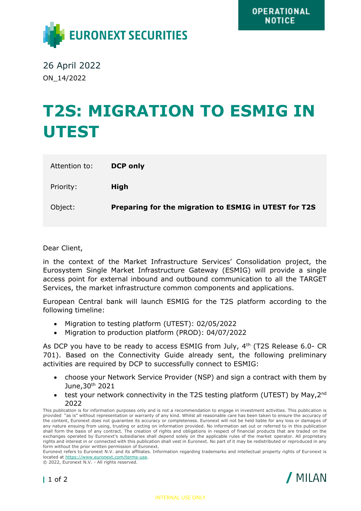

26 April 2022 ON\_14/2022

## **T2S: MIGRATION TO ESMIG IN UTEST**

| Attention to: | <b>DCP only</b>                                       |
|---------------|-------------------------------------------------------|
| Priority:     | High                                                  |
| Object:       | Preparing for the migration to ESMIG in UTEST for T2S |

Dear Client,

in the context of the Market Infrastructure Services' Consolidation project, the Eurosystem Single Market Infrastructure Gateway (ESMIG) will provide a single access point for external inbound and outbound communication to all the TARGET Services, the market infrastructure common components and applications.

European Central bank will launch ESMIG for the T2S platform according to the following timeline:

- Migration to testing platform (UTEST): 02/05/2022
- Migration to production platform (PROD): 04/07/2022

As DCP you have to be ready to access ESMIG from July, 4<sup>th</sup> (T2S Release 6.0- CR 701). Based on the Connectivity Guide already sent, the following preliminary activities are required by DCP to successfully connect to ESMIG:

- choose your Network Service Provider (NSP) and sign a contract with them by June,30th 2021
- test your network connectivity in the T2S testing platform (UTEST) by May, 2<sup>nd</sup> 2022

This publication is for information purposes only and is not a recommendation to engage in investment activities. This publication is provided "as is" without representation or warranty of any kind. Whilst all reasonable care has been taken to ensure the accuracy of the content, Euronext does not guarantee its accuracy or completeness. Euronext will not be held liable for any loss or damages of any nature ensuing from using, trusting or acting on information provided. No information set out or referred to in this publication shall form the basis of any contract. The creation of rights and obligations in respect of financial products that are traded on the exchanges operated by Euronext's subsidiaries shall depend solely on the applicable rules of the market operator. All proprietary rights and interest in or connected with this publication shall vest in Euronext. No part of it may be redistributed or reproduced in any form without the prior written permission of Euronext.

Euronext refers to Euronext N.V. and its affiliates. Information regarding trademarks and intellectual property rights of Euronext is located at [https://www.euronext.com/terms-use.](https://www.euronext.com/terms-use)